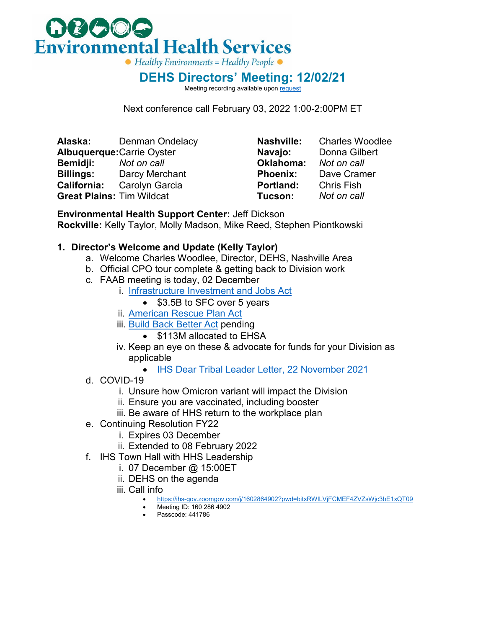

**DEHS Directors' Meeting: 12/02/21**

Meeting recording available upo[n request](mailto:stephen.piontkowski@ihs.gov)

Next conference call February 03, 2022 1:00-2:00PM ET

**Alaska:** Denman Ondelacy **Albuquerque:**Carrie Oyster **Bemidji:** *Not on call* **Billings:** Darcy Merchant **California:** Carolyn Garcia **Great Plains:** Tim Wildcat

**Nashville:** Charles Woodlee **Navajo:** Donna Gilbert **Oklahoma:** *Not on call* **Phoenix:** Dave Cramer **Portland:** Chris Fish<br>**Tucson:** Not on call **Tucson:** *Not on call*

**Environmental Health Support Center:** Jeff Dickson **Rockville:** Kelly Taylor, Molly Madson, Mike Reed, Stephen Piontkowski

## **1. Director's Welcome and Update (Kelly Taylor)**

- a. Welcome Charles Woodlee, Director, DEHS, Nashville Area
- b. Official CPO tour complete & getting back to Division work
- c. FAAB meeting is today, 02 December
	- i. [Infrastructure Investment and Jobs Act](https://www.congress.gov/bill/117th-congress/house-bill/3684)
		- \$3.5B to SFC over 5 years
	- ii. [American Rescue Plan Act](https://www.congress.gov/bill/117th-congress/house-bill/1319/text)
	- iii. [Build Back Better Act](https://www.congress.gov/bill/117th-congress/house-bill/5376) pending
		- \$113M allocated to EHSA
	- iv. Keep an eye on these & advocate for funds for your Division as applicable
		- [IHS Dear Tribal Leader Letter, 22 November 2021](https://www.ihs.gov/sites/newsroom/themes/responsive2017/display_objects/documents/2021_Letters/DTLL_112221.pdf)
- d. COVID-19
	- i. Unsure how Omicron variant will impact the Division
	- ii. Ensure you are vaccinated, including booster
	- iii. Be aware of HHS return to the workplace plan
- e. Continuing Resolution FY22
	- i. Expires 03 December
	- ii. Extended to 08 February 2022
- f. IHS Town Hall with HHS Leadership
	- i. 07 December @ 15:00ET
	- ii. DEHS on the agenda
	- iii. Call info
		- <https://ihs-gov.zoomgov.com/j/1602864902?pwd=bitxRWlLVjFCMEF4ZVZsWjc3bE1xQT09>
		- Meeting ID: 160 286 4902
		- Passcode: 441786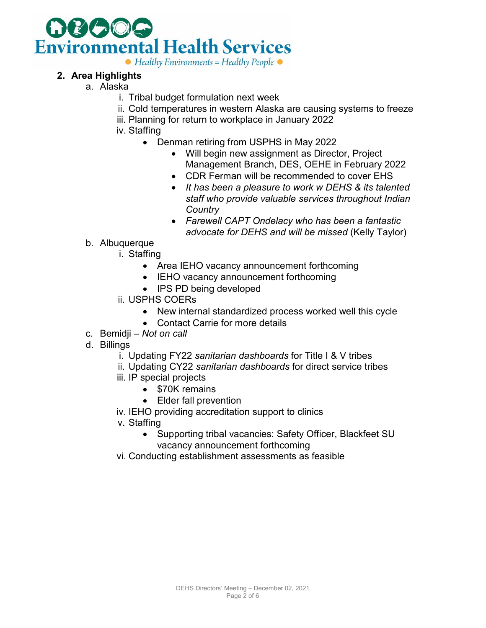

## **2. Area Highlights**

- a. Alaska
	- i. Tribal budget formulation next week
	- ii. Cold temperatures in western Alaska are causing systems to freeze
	- iii. Planning for return to workplace in January 2022
	- iv. Staffing
		- Denman retiring from USPHS in May 2022
			- Will begin new assignment as Director, Project Management Branch, DES, OEHE in February 2022
			- CDR Ferman will be recommended to cover EHS
			- *It has been a pleasure to work w DEHS & its talented staff who provide valuable services throughout Indian Country*
			- *Farewell CAPT Ondelacy who has been a fantastic advocate for DEHS and will be missed* (Kelly Taylor)
	- b. Albuquerque
		- i. Staffing
			- Area IEHO vacancy announcement forthcoming
			- IEHO vacancy announcement forthcoming
			- IPS PD being developed
		- ii. USPHS COERs
			- New internal standardized process worked well this cycle
			- Contact Carrie for more details
	- c. Bemidji *Not on call*
	- d. Billings
		- i. Updating FY22 *sanitarian dashboards* for Title I & V tribes
		- ii. Updating CY22 *sanitarian dashboards* for direct service tribes
		- iii. IP special projects
			- \$70K remains
			- Elder fall prevention
		- iv. IEHO providing accreditation support to clinics
		- v. Staffing
			- Supporting tribal vacancies: Safety Officer, Blackfeet SU vacancy announcement forthcoming
		- vi. Conducting establishment assessments as feasible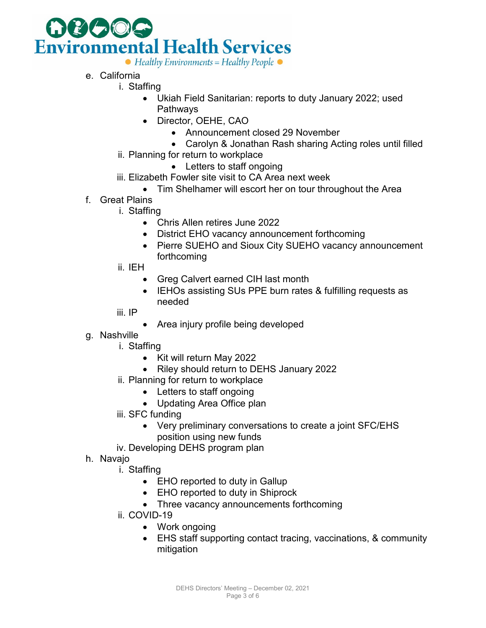

- e. California
	- i. Staffing
		- Ukiah Field Sanitarian: reports to duty January 2022; used Pathways
		- Director, OEHE, CAO
			- Announcement closed 29 November
			- Carolyn & Jonathan Rash sharing Acting roles until filled
		- ii. Planning for return to workplace
			- Letters to staff ongoing
		- iii. Elizabeth Fowler site visit to CA Area next week
			- Tim Shelhamer will escort her on tour throughout the Area
- f. Great Plains
	- i. Staffing
		- Chris Allen retires June 2022
		- District EHO vacancy announcement forthcoming
		- Pierre SUEHO and Sioux City SUEHO vacancy announcement forthcoming
	- ii. IEH
		- Greg Calvert earned CIH last month
		- IEHOs assisting SUs PPE burn rates & fulfilling requests as needed
	- iii. IP
		- Area injury profile being developed
- g. Nashville
	- i. Staffing
		- Kit will return May 2022
		- Riley should return to DEHS January 2022
	- ii. Planning for return to workplace
		- Letters to staff ongoing
		- Updating Area Office plan
	- iii. SFC funding
		- Very preliminary conversations to create a joint SFC/EHS position using new funds
	- iv. Developing DEHS program plan
- h. Navajo
	- i. Staffing
		- EHO reported to duty in Gallup
		- EHO reported to duty in Shiprock
		- Three vacancy announcements forthcoming
	- ii. COVID-19
		- Work ongoing
		- EHS staff supporting contact tracing, vaccinations, & community mitigation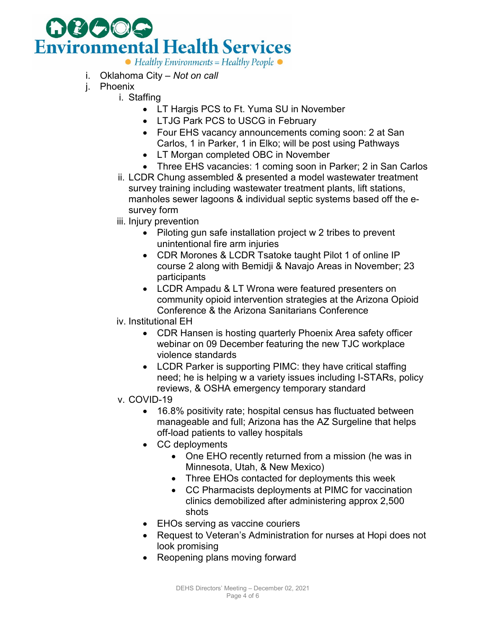

- $\bullet$  Healthy Environments = Healthy People  $\bullet$
- i. Oklahoma City *Not on call*
- j. Phoenix
	- i. Staffing
		- LT Hargis PCS to Ft. Yuma SU in November
		- LTJG Park PCS to USCG in February
		- Four EHS vacancy announcements coming soon: 2 at San Carlos, 1 in Parker, 1 in Elko; will be post using Pathways
		- LT Morgan completed OBC in November
		- Three EHS vacancies: 1 coming soon in Parker; 2 in San Carlos
	- ii. LCDR Chung assembled & presented a model wastewater treatment survey training including wastewater treatment plants, lift stations, manholes sewer lagoons & individual septic systems based off the esurvey form
	- iii. Injury prevention
		- Piloting gun safe installation project w 2 tribes to prevent unintentional fire arm injuries
		- CDR Morones & LCDR Tsatoke taught Pilot 1 of online IP course 2 along with Bemidji & Navajo Areas in November; 23 participants
		- LCDR Ampadu & LT Wrona were featured presenters on community opioid intervention strategies at the Arizona Opioid Conference & the Arizona Sanitarians Conference
	- iv. Institutional EH
		- CDR Hansen is hosting quarterly Phoenix Area safety officer webinar on 09 December featuring the new TJC workplace violence standards
		- LCDR Parker is supporting PIMC: they have critical staffing need; he is helping w a variety issues including I-STARs, policy reviews, & OSHA emergency temporary standard
	- v. COVID-19
		- 16.8% positivity rate; hospital census has fluctuated between manageable and full; Arizona has the AZ Surgeline that helps off-load patients to valley hospitals
		- CC deployments
			- One EHO recently returned from a mission (he was in Minnesota, Utah, & New Mexico)
			- Three EHOs contacted for deployments this week
			- CC Pharmacists deployments at PIMC for vaccination clinics demobilized after administering approx 2,500 shots
		- EHOs serving as vaccine couriers
		- Request to Veteran's Administration for nurses at Hopi does not look promising
		- Reopening plans moving forward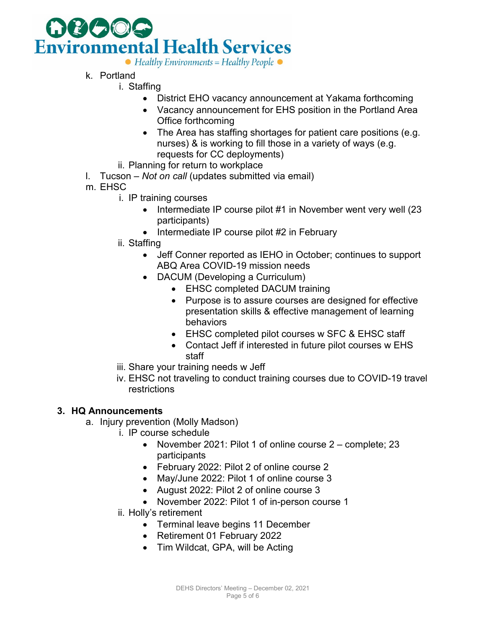

 $\bullet$  Healthy Environments = Healthy People  $\bullet$ 

- k. Portland
	- i. Staffing
		- District EHO vacancy announcement at Yakama forthcoming
		- Vacancy announcement for EHS position in the Portland Area Office forthcoming
		- The Area has staffing shortages for patient care positions (e.g. nurses) & is working to fill those in a variety of ways (e.g. requests for CC deployments)
	- ii. Planning for return to workplace
- l. Tucson *Not on call* (updates submitted via email)
- m. EHSC
	- i. IP training courses
		- Intermediate IP course pilot #1 in November went very well (23 participants)
		- Intermediate IP course pilot #2 in February
	- ii. Staffing
		- Jeff Conner reported as IEHO in October; continues to support ABQ Area COVID-19 mission needs
		- DACUM (Developing a Curriculum)
			- EHSC completed DACUM training
			- Purpose is to assure courses are designed for effective presentation skills & effective management of learning behaviors
			- EHSC completed pilot courses w SFC & EHSC staff
			- Contact Jeff if interested in future pilot courses w EHS staff
	- iii. Share your training needs w Jeff
	- iv. EHSC not traveling to conduct training courses due to COVID-19 travel restrictions

## **3. HQ Announcements**

- a. Injury prevention (Molly Madson)
	- i. IP course schedule
		- November 2021: Pilot 1 of online course 2 complete; 23 participants
		- February 2022: Pilot 2 of online course 2
		- May/June 2022: Pilot 1 of online course 3
		- August 2022: Pilot 2 of online course 3
		- November 2022: Pilot 1 of in-person course 1
	- ii. Holly's retirement
		- Terminal leave begins 11 December
		- Retirement 01 February 2022
		- Tim Wildcat, GPA, will be Acting